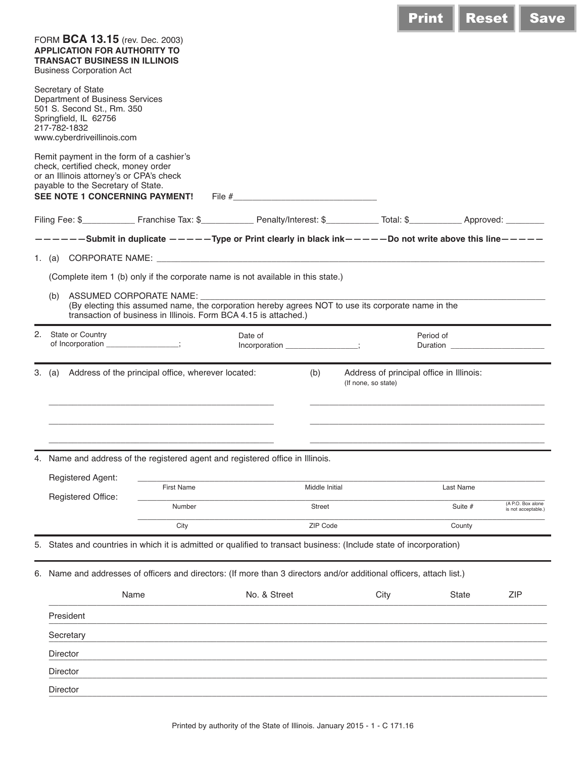| FORM BCA 13.15 (rev. Dec. 2003)<br><b>APPLICATION FOR AUTHORITY TO</b><br><b>TRANSACT BUSINESS IN ILLINOIS</b><br><b>Business Corporation Act</b>                                                               |                   |                          |                                                                        |      |                                       |                                          |  |  |  |  |
|-----------------------------------------------------------------------------------------------------------------------------------------------------------------------------------------------------------------|-------------------|--------------------------|------------------------------------------------------------------------|------|---------------------------------------|------------------------------------------|--|--|--|--|
| Secretary of State<br>Department of Business Services<br>501 S. Second St., Rm. 350<br>Springfield, IL 62756<br>217-782-1832<br>www.cyberdriveillinois.com                                                      |                   |                          |                                                                        |      |                                       |                                          |  |  |  |  |
| Remit payment in the form of a cashier's<br>check, certified check, money order<br>or an Illinois attorney's or CPA's check<br>payable to the Secretary of State.<br>SEE NOTE 1 CONCERNING PAYMENT!             |                   |                          |                                                                        |      |                                       |                                          |  |  |  |  |
|                                                                                                                                                                                                                 |                   |                          |                                                                        |      |                                       |                                          |  |  |  |  |
| -----Submit in duplicate -----Type or Print clearly in black ink-----Do not write above this line-----                                                                                                          |                   |                          |                                                                        |      |                                       |                                          |  |  |  |  |
|                                                                                                                                                                                                                 |                   |                          |                                                                        |      |                                       |                                          |  |  |  |  |
| (Complete item 1 (b) only if the corporate name is not available in this state.)                                                                                                                                |                   |                          |                                                                        |      |                                       |                                          |  |  |  |  |
| (b) ASSUMED CORPORATE NAME: _________<br>(By electing this assumed name, the corporation hereby agrees NOT to use its corporate name in the<br>transaction of business in Illinois. Form BCA 4.15 is attached.) |                   |                          |                                                                        |      |                                       |                                          |  |  |  |  |
| 2. State or Country<br>of Incorporation ______________;                                                                                                                                                         |                   | Date of<br>Incorporation |                                                                        |      | Period of<br>Duration <b>Duration</b> |                                          |  |  |  |  |
| 3. (a) Address of the principal office, wherever located:                                                                                                                                                       |                   |                          | Address of principal office in Illinois:<br>(b)<br>(If none, so state) |      |                                       |                                          |  |  |  |  |
|                                                                                                                                                                                                                 |                   |                          |                                                                        |      |                                       |                                          |  |  |  |  |
| 4. Name and address of the registered agent and registered office in Illinois.                                                                                                                                  |                   |                          |                                                                        |      |                                       |                                          |  |  |  |  |
| Registered Agent:                                                                                                                                                                                               | <b>First Name</b> |                          | Middle Initial                                                         |      | Last Name                             |                                          |  |  |  |  |
| Registered Office:                                                                                                                                                                                              | Number            |                          | <b>Street</b>                                                          |      | Suite #                               | (A P.O. Box alone<br>is not acceptable.) |  |  |  |  |
|                                                                                                                                                                                                                 | City              |                          | ZIP Code                                                               |      | County                                |                                          |  |  |  |  |
| States and countries in which it is admitted or qualified to transact business: (Include state of incorporation)                                                                                                |                   |                          |                                                                        |      |                                       |                                          |  |  |  |  |
| 6. Name and addresses of officers and directors: (If more than 3 directors and/or additional officers, attach list.)                                                                                            |                   |                          |                                                                        |      |                                       |                                          |  |  |  |  |
| Name                                                                                                                                                                                                            |                   | No. & Street             |                                                                        | City | <b>State</b>                          | <b>ZIP</b>                               |  |  |  |  |
|                                                                                                                                                                                                                 |                   |                          |                                                                        |      |                                       |                                          |  |  |  |  |
|                                                                                                                                                                                                                 |                   |                          |                                                                        |      |                                       |                                          |  |  |  |  |
| President                                                                                                                                                                                                       |                   |                          |                                                                        |      |                                       |                                          |  |  |  |  |
| Secretary<br>Director                                                                                                                                                                                           |                   |                          |                                                                        |      |                                       |                                          |  |  |  |  |
| Director                                                                                                                                                                                                        |                   |                          |                                                                        |      |                                       |                                          |  |  |  |  |